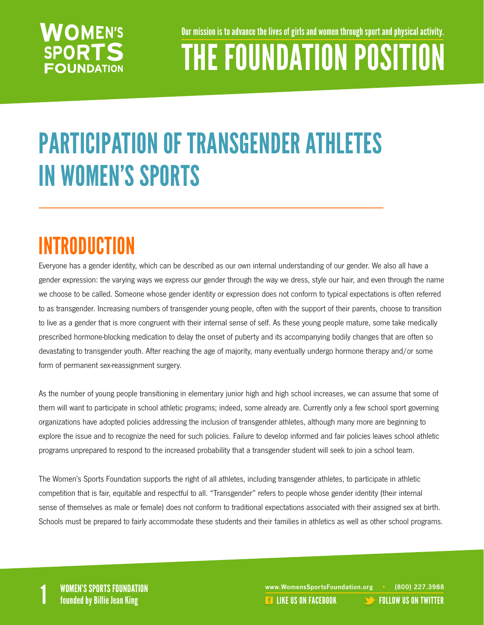Our mission is to advance the lives of girls and women through sport and physical activity.

# THE FOUNDATION POSITION

## PARTICIPATION OF TRANSGENDER ATHLETES IN WOMEN'S SPORTS

### INTRODUCTION

Everyone has a gender identity, which can be described as our own internal understanding of our gender. We also all have a gender expression: the varying ways we express our gender through the way we dress, style our hair, and even through the name we choose to be called. Someone whose gender identity or expression does not conform to typical expectations is often referred to as transgender. Increasing numbers of transgender young people, often with the support of their parents, choose to transition to live as a gender that is more congruent with their internal sense of self. As these young people mature, some take medically prescribed hormone-blocking medication to delay the onset of puberty and its accompanying bodily changes that are often so devastating to transgender youth. After reaching the age of majority, many eventually undergo hormone therapy and/or some form of permanent sex-reassignment surgery.

As the number of young people transitioning in elementary junior high and high school increases, we can assume that some of them will want to participate in school athletic programs; indeed, some already are. Currently only a few school sport governing organizations have adopted policies addressing the inclusion of transgender athletes, although many more are beginning to explore the issue and to recognize the need for such policies. Failure to develop informed and fair policies leaves school athletic programs unprepared to respond to the increased probability that a transgender student will seek to join a school team.

The Women's Sports Foundation supports the right of all athletes, including transgender athletes, to participate in athletic competition that is fair, equitable and respectful to all. "Transgender" refers to people whose gender identity (their internal sense of themselves as male or female) does not conform to traditional expectations associated with their assigned sex at birth. Schools must be prepared to fairly accommodate these students and their families in athletics as well as other school programs.

WOMEN'S SPORTS FOUNDATION www.WomensSportsFoundation.org • (800) 227.3988<br>1 founded by Billie Jean King the state of the state of the state of the US ON FACEBOOK founded by Billie Jean **REA[LIKE US ON FACEBOOK](https://www.facebook.com/WomensSportsFoundation) [FOLLOW US ON TWITTER](http://twitter.com/#!/womenssportsfdn)**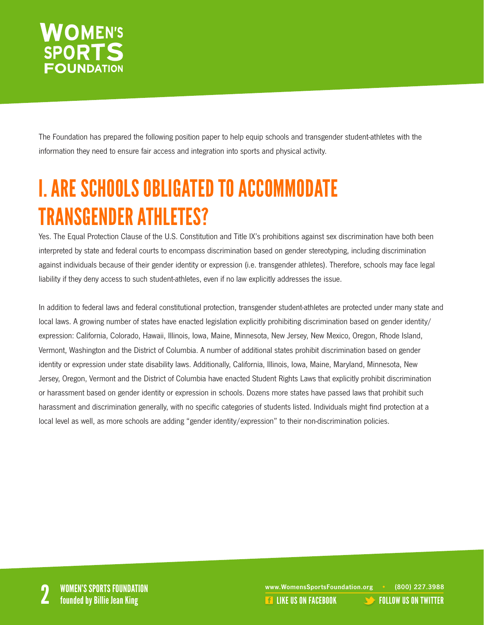The Foundation has prepared the following position paper to help equip schools and transgender student-athletes with the information they need to ensure fair access and integration into sports and physical activity.

### I. ARE SCHOOLS OBLIGATED TO ACCOMMODATE TRANSGENDER ATHLETES?

Yes. The Equal Protection Clause of the U.S. Constitution and Title IX's prohibitions against sex discrimination have both been interpreted by state and federal courts to encompass discrimination based on gender stereotyping, including discrimination against individuals because of their gender identity or expression (i.e. transgender athletes). Therefore, schools may face legal liability if they deny access to such student-athletes, even if no law explicitly addresses the issue.

In addition to federal laws and federal constitutional protection, transgender student-athletes are protected under many state and local laws. A growing number of states have enacted legislation explicitly prohibiting discrimination based on gender identity/ expression: California, Colorado, Hawaii, Illinois, Iowa, Maine, Minnesota, New Jersey, New Mexico, Oregon, Rhode Island, Vermont, Washington and the District of Columbia. A number of additional states prohibit discrimination based on gender identity or expression under state disability laws. Additionally, California, Illinois, Iowa, Maine, Maryland, Minnesota, New Jersey, Oregon, Vermont and the District of Columbia have enacted Student Rights Laws that explicitly prohibit discrimination or harassment based on gender identity or expression in schools. Dozens more states have passed laws that prohibit such harassment and discrimination generally, with no specific categories of students listed. Individuals might find protection at a local level as well, as more schools are adding "gender identity/expression" to their non-discrimination policies.

www.WomensSportsFoundation.org • (800) 227.3988<br>2 **2 Founded by Billie Jean King** 2 Like US ON FACEBOOK [FOLLOW US ON TWITTER](http://twitter.com/#!/womenssportsfdn)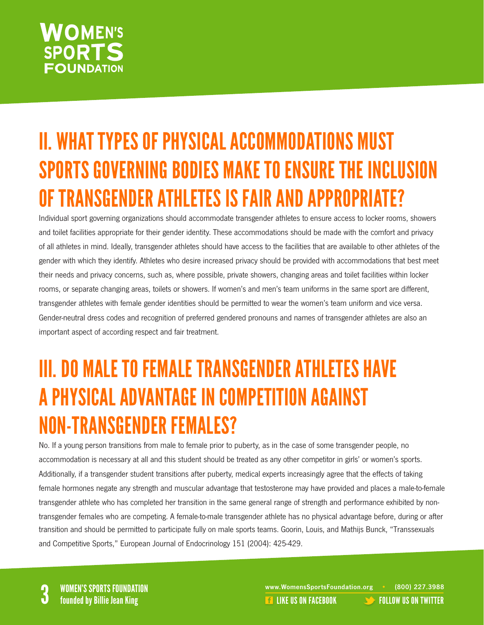### II. WHAT TYPES OF PHYSICAL ACCOMMODATIONS MUST SPORTS GOVERNING BODIES MAKE TO ENSURE THE INCLUSION OF TRANSGENDER ATHLETES IS FAIR AND APPROPRIATE?

Individual sport governing organizations should accommodate transgender athletes to ensure access to locker rooms, showers and toilet facilities appropriate for their gender identity. These accommodations should be made with the comfort and privacy of all athletes in mind. Ideally, transgender athletes should have access to the facilities that are available to other athletes of the gender with which they identify. Athletes who desire increased privacy should be provided with accommodations that best meet their needs and privacy concerns, such as, where possible, private showers, changing areas and toilet facilities within locker rooms, or separate changing areas, toilets or showers. If women's and men's team uniforms in the same sport are different, transgender athletes with female gender identities should be permitted to wear the women's team uniform and vice versa. Gender-neutral dress codes and recognition of preferred gendered pronouns and names of transgender athletes are also an important aspect of according respect and fair treatment.

### III.DO MALE TO FEMALE TRANSGENDER ATHLETES HAVE APHYSICAL ADVANTAGE IN COMPETITION AGAINST NON-TRANSGENDER FEMALES?

No. If a young person transitions from male to female prior to puberty, as in the case of some transgender people, no accommodation is necessary at all and this student should be treated as any other competitor in girls' or women's sports. Additionally, if a transgender student transitions after puberty, medical experts increasingly agree that the effects of taking female hormones negate any strength and muscular advantage that testosterone may have provided and places a male-to-female transgender athlete who has completed her transition in the same general range of strength and performance exhibited by nontransgender females who are competing. A female-to-male transgender athlete has no physical advantage before, during or after transition and should be permitted to participate fully on male sports teams. Goorin, Louis, and Mathijs Bunck, "Transsexuals and Competitive Sports," European Journal of Endocrinology 151 (2004): 425-429.

WOMEN'S SPORTS FOUNDATION<br>
State of the state of the state of the state of the state of the state of the state of the state of the state o<br>
State of the US ON FACEBOOK [FOLLOW US ON TWITTER](http://twitter.com/#!/womenssportsfdn)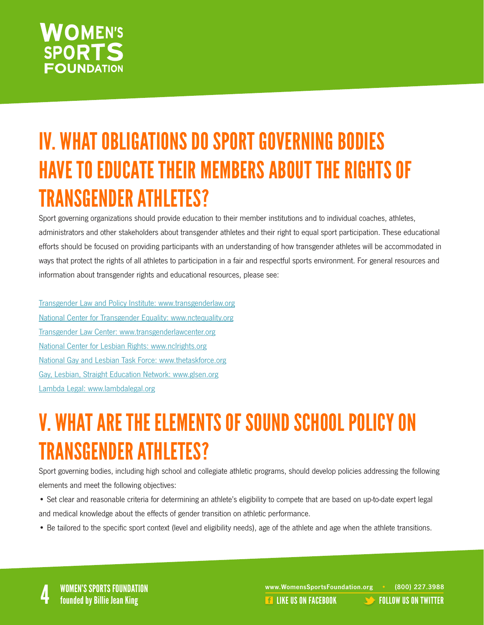### IV. WHAT OBLIGATIONS DO SPORT GOVERNING BODIES HAVE TO EDUCATE THEIR MEMBERS ABOUT THE RIGHTS OF TRANSGENDER ATHLETES?

Sport governing organizations should provide education to their member institutions and to individual coaches, athletes, administrators and other stakeholders about transgender athletes and their right to equal sport participation. These educational efforts should be focused on providing participants with an understanding of how transgender athletes will be accommodated in ways that protect the rights of all athletes to participation in a fair and respectful sports environment. For general resources and information about transgender rights and educational resources, please see:

[Transgender Law and Policy Institute: www.transgenderlaw.org](http://www.transgenderlaw.org) [National Center for Transgender Equality: www.nctequality.org](http://www.nctequality.org) [Transgender Law Center: www.transgenderlawcenter.org](http://www.transgenderlawcenter.org) [National Center for Lesbian Rights: www.nclrights.org](http://www.nclrights.org) [National Gay and Lesbian Task Force: www.thetaskforce.org](http://www.thetaskforce.org) [Gay, Lesbian, Straight Education Network: www.glsen.org](http://www.glsen.org) [Lambda Legal: www.lambdalegal.org](http://www.lambdalegal.org)

### V. WHAT ARE THE ELEMENTS OF SOUND SCHOOL POLICY ON TRANSGENDER ATHLETES?

Sport governing bodies, including high school and collegiate athletic programs, should develop policies addressing the following elements and meet the following objectives:

- Set clear and reasonable criteria for determining an athlete's eligibility to compete that are based on up-to-date expert legal and medical knowledge about the effects of gender transition on athletic performance.
- Be tailored to the specific sport context (level and eligibility needs), age of the athlete and age when the athlete transitions.